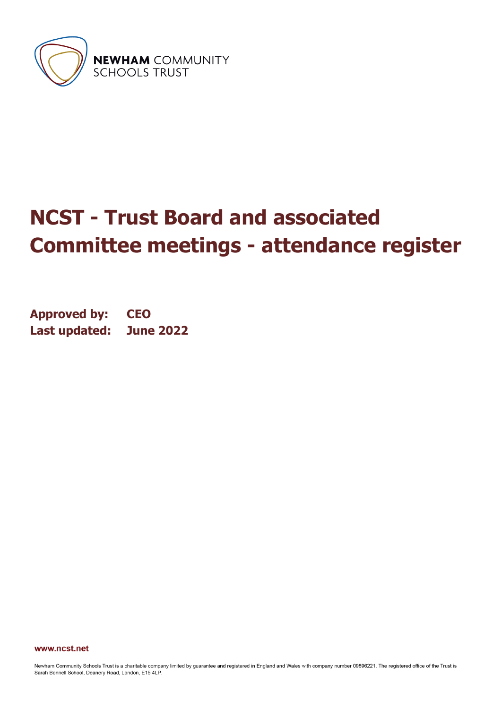

**NEWHAM** COMMUNITY<br>SCHOOLS TRUST

# **NCST - Trust Board and associated Committee meetings - attendance register**

**Approved by: CEO Last updated: June 2022**

www.ncst.net

Newham Community Schools Trust is a charitable company limited by guarantee and registered in England and Wales with company number 09896221. The registered office of the Trust is Sarah Bonnell School, Deanery Road, London, E15 4LP.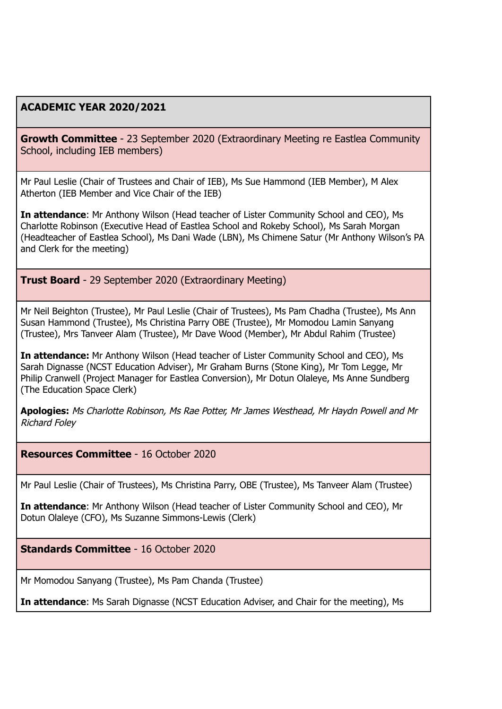## **ACADEMIC YEAR 2020/2021**

**Growth Committee** - 23 September 2020 (Extraordinary Meeting re Eastlea Community School, including IEB members)

Mr Paul Leslie (Chair of Trustees and Chair of IEB), Ms Sue Hammond (IEB Member), M Alex Atherton (IEB Member and Vice Chair of the IEB)

**In attendance**: Mr Anthony Wilson (Head teacher of Lister Community School and CEO), Ms Charlotte Robinson (Executive Head of Eastlea School and Rokeby School), Ms Sarah Morgan (Headteacher of Eastlea School), Ms Dani Wade (LBN), Ms Chimene Satur (Mr Anthony Wilson's PA and Clerk for the meeting)

**Trust Board** - 29 September 2020 (Extraordinary Meeting)

Mr Neil Beighton (Trustee), Mr Paul Leslie (Chair of Trustees), Ms Pam Chadha (Trustee), Ms Ann Susan Hammond (Trustee), Ms Christina Parry OBE (Trustee), Mr Momodou Lamin Sanyang (Trustee), Mrs Tanveer Alam (Trustee), Mr Dave Wood (Member), Mr Abdul Rahim (Trustee)

**In attendance:** Mr Anthony Wilson (Head teacher of Lister Community School and CEO), Ms Sarah Dignasse (NCST Education Adviser), Mr Graham Burns (Stone King), Mr Tom Legge, Mr Philip Cranwell (Project Manager for Eastlea Conversion), Mr Dotun Olaleye, Ms Anne Sundberg (The Education Space Clerk)

**Apologies:** Ms Charlotte Robinson, Ms Rae Potter, Mr James Westhead, Mr Haydn Powell and Mr Richard Foley

**Resources Committee** - 16 October 2020

Mr Paul Leslie (Chair of Trustees), Ms Christina Parry, OBE (Trustee), Ms Tanveer Alam (Trustee)

**In attendance**: Mr Anthony Wilson (Head teacher of Lister Community School and CEO), Mr Dotun Olaleye (CFO), Ms Suzanne Simmons-Lewis (Clerk)

**Standards Committee** - 16 October 2020

Mr Momodou Sanyang (Trustee), Ms Pam Chanda (Trustee)

**In attendance**: Ms Sarah Dignasse (NCST Education Adviser, and Chair for the meeting), Ms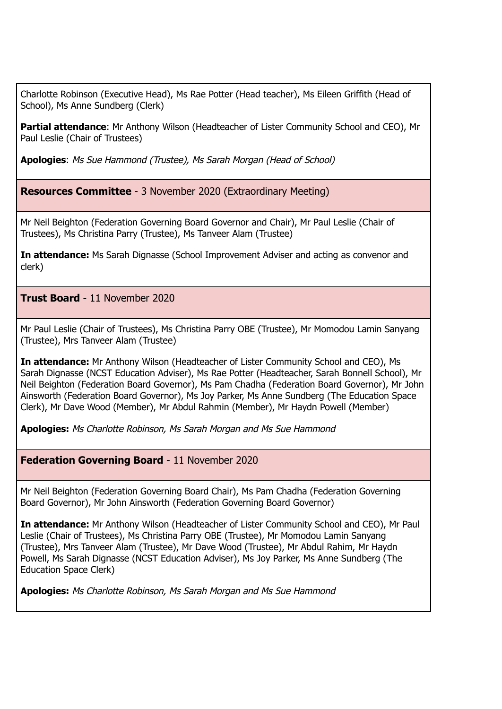Charlotte Robinson (Executive Head), Ms Rae Potter (Head teacher), Ms Eileen Griffith (Head of School), Ms Anne Sundberg (Clerk)

**Partial attendance**: Mr Anthony Wilson (Headteacher of Lister Community School and CEO), Mr Paul Leslie (Chair of Trustees)

**Apologies**: Ms Sue Hammond (Trustee), Ms Sarah Morgan (Head of School)

**Resources Committee** - 3 November 2020 (Extraordinary Meeting)

Mr Neil Beighton (Federation Governing Board Governor and Chair), Mr Paul Leslie (Chair of Trustees), Ms Christina Parry (Trustee), Ms Tanveer Alam (Trustee)

**In attendance:** Ms Sarah Dignasse (School Improvement Adviser and acting as convenor and clerk)

**Trust Board** - 11 November 2020

Mr Paul Leslie (Chair of Trustees), Ms Christina Parry OBE (Trustee), Mr Momodou Lamin Sanyang (Trustee), Mrs Tanveer Alam (Trustee)

**In attendance:** Mr Anthony Wilson (Headteacher of Lister Community School and CEO), Ms Sarah Dignasse (NCST Education Adviser), Ms Rae Potter (Headteacher, Sarah Bonnell School), Mr Neil Beighton (Federation Board Governor), Ms Pam Chadha (Federation Board Governor), Mr John Ainsworth (Federation Board Governor), Ms Joy Parker, Ms Anne Sundberg (The Education Space Clerk), Mr Dave Wood (Member), Mr Abdul Rahmin (Member), Mr Haydn Powell (Member)

**Apologies:** Ms Charlotte Robinson, Ms Sarah Morgan and Ms Sue Hammond

**Federation Governing Board** - 11 November 2020

Mr Neil Beighton (Federation Governing Board Chair), Ms Pam Chadha (Federation Governing Board Governor), Mr John Ainsworth (Federation Governing Board Governor)

**In attendance:** Mr Anthony Wilson (Headteacher of Lister Community School and CEO), Mr Paul Leslie (Chair of Trustees), Ms Christina Parry OBE (Trustee), Mr Momodou Lamin Sanyang (Trustee), Mrs Tanveer Alam (Trustee), Mr Dave Wood (Trustee), Mr Abdul Rahim, Mr Haydn Powell, Ms Sarah Dignasse (NCST Education Adviser), Ms Joy Parker, Ms Anne Sundberg (The Education Space Clerk)

**Apologies:** Ms Charlotte Robinson, Ms Sarah Morgan and Ms Sue Hammond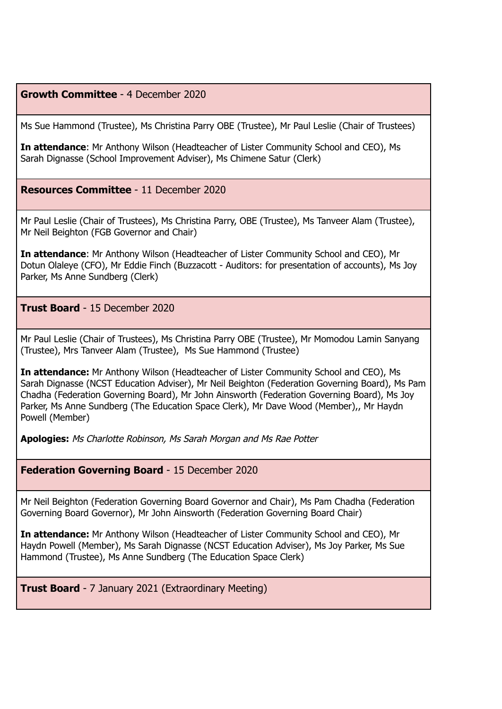## **Growth Committee** - 4 December 2020

Ms Sue Hammond (Trustee), Ms Christina Parry OBE (Trustee), Mr Paul Leslie (Chair of Trustees)

**In attendance**: Mr Anthony Wilson (Headteacher of Lister Community School and CEO), Ms Sarah Dignasse (School Improvement Adviser), Ms Chimene Satur (Clerk)

## **Resources Committee** - 11 December 2020

Mr Paul Leslie (Chair of Trustees), Ms Christina Parry, OBE (Trustee), Ms Tanveer Alam (Trustee), Mr Neil Beighton (FGB Governor and Chair)

**In attendance**: Mr Anthony Wilson (Headteacher of Lister Community School and CEO), Mr Dotun Olaleye (CFO), Mr Eddie Finch (Buzzacott - Auditors: for presentation of accounts), Ms Joy Parker, Ms Anne Sundberg (Clerk)

**Trust Board** - 15 December 2020

Mr Paul Leslie (Chair of Trustees), Ms Christina Parry OBE (Trustee), Mr Momodou Lamin Sanyang (Trustee), Mrs Tanveer Alam (Trustee), Ms Sue Hammond (Trustee)

**In attendance:** Mr Anthony Wilson (Headteacher of Lister Community School and CEO), Ms Sarah Dignasse (NCST Education Adviser), Mr Neil Beighton (Federation Governing Board), Ms Pam Chadha (Federation Governing Board), Mr John Ainsworth (Federation Governing Board), Ms Joy Parker, Ms Anne Sundberg (The Education Space Clerk), Mr Dave Wood (Member),, Mr Haydn Powell (Member)

**Apologies:** Ms Charlotte Robinson, Ms Sarah Morgan and Ms Rae Potter

**Federation Governing Board** - 15 December 2020

Mr Neil Beighton (Federation Governing Board Governor and Chair), Ms Pam Chadha (Federation Governing Board Governor), Mr John Ainsworth (Federation Governing Board Chair)

**In attendance:** Mr Anthony Wilson (Headteacher of Lister Community School and CEO), Mr Haydn Powell (Member), Ms Sarah Dignasse (NCST Education Adviser), Ms Joy Parker, Ms Sue Hammond (Trustee), Ms Anne Sundberg (The Education Space Clerk)

**Trust Board** - 7 January 2021 (Extraordinary Meeting)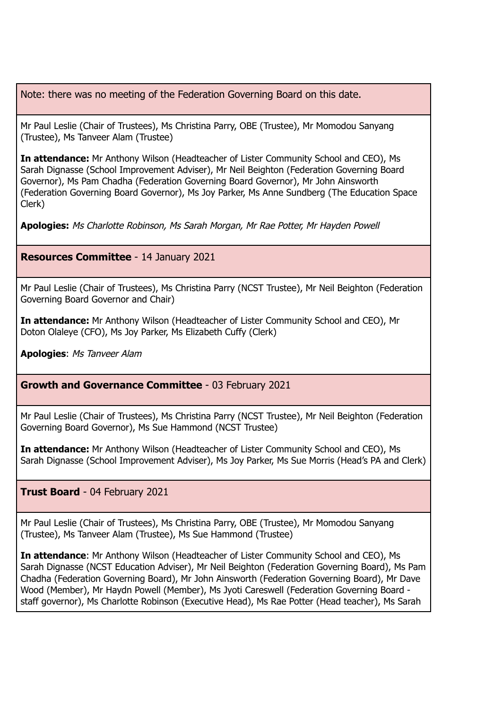Note: there was no meeting of the Federation Governing Board on this date.

Mr Paul Leslie (Chair of Trustees), Ms Christina Parry, OBE (Trustee), Mr Momodou Sanyang (Trustee), Ms Tanveer Alam (Trustee)

**In attendance:** Mr Anthony Wilson (Headteacher of Lister Community School and CEO), Ms Sarah Dignasse (School Improvement Adviser), Mr Neil Beighton (Federation Governing Board Governor), Ms Pam Chadha (Federation Governing Board Governor), Mr John Ainsworth (Federation Governing Board Governor), Ms Joy Parker, Ms Anne Sundberg (The Education Space Clerk)

**Apologies:** Ms Charlotte Robinson, Ms Sarah Morgan, Mr Rae Potter, Mr Hayden Powell

**Resources Committee** - 14 January 2021

Mr Paul Leslie (Chair of Trustees), Ms Christina Parry (NCST Trustee), Mr Neil Beighton (Federation Governing Board Governor and Chair)

**In attendance:** Mr Anthony Wilson (Headteacher of Lister Community School and CEO), Mr Doton Olaleye (CFO), Ms Joy Parker, Ms Elizabeth Cuffy (Clerk)

**Apologies**: Ms Tanveer Alam

**Growth and Governance Committee** - 03 February 2021

Mr Paul Leslie (Chair of Trustees), Ms Christina Parry (NCST Trustee), Mr Neil Beighton (Federation Governing Board Governor), Ms Sue Hammond (NCST Trustee)

**In attendance:** Mr Anthony Wilson (Headteacher of Lister Community School and CEO), Ms Sarah Dignasse (School Improvement Adviser), Ms Joy Parker, Ms Sue Morris (Head's PA and Clerk)

**Trust Board** - 04 February 2021

Mr Paul Leslie (Chair of Trustees), Ms Christina Parry, OBE (Trustee), Mr Momodou Sanyang (Trustee), Ms Tanveer Alam (Trustee), Ms Sue Hammond (Trustee)

**In attendance**: Mr Anthony Wilson (Headteacher of Lister Community School and CEO), Ms Sarah Dignasse (NCST Education Adviser), Mr Neil Beighton (Federation Governing Board), Ms Pam Chadha (Federation Governing Board), Mr John Ainsworth (Federation Governing Board), Mr Dave Wood (Member), Mr Haydn Powell (Member), Ms Jyoti Careswell (Federation Governing Board staff governor), Ms Charlotte Robinson (Executive Head), Ms Rae Potter (Head teacher), Ms Sarah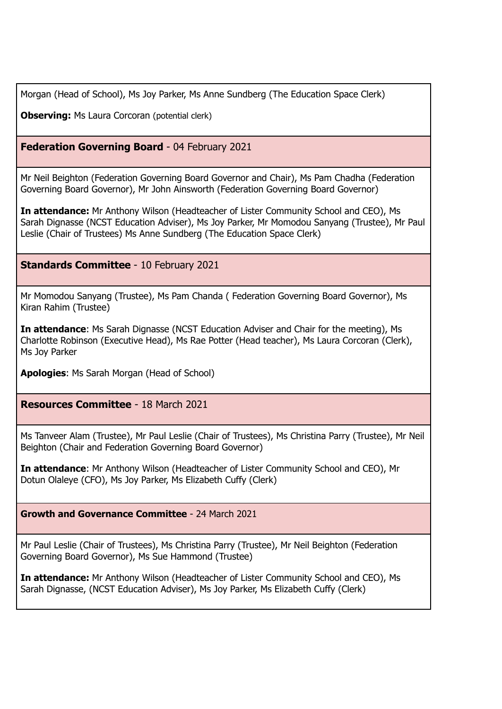Morgan (Head of School), Ms Joy Parker, Ms Anne Sundberg (The Education Space Clerk)

**Observing:** Ms Laura Corcoran (potential clerk)

# **Federation Governing Board** - 04 February 2021

Mr Neil Beighton (Federation Governing Board Governor and Chair), Ms Pam Chadha (Federation Governing Board Governor), Mr John Ainsworth (Federation Governing Board Governor)

**In attendance:** Mr Anthony Wilson (Headteacher of Lister Community School and CEO), Ms Sarah Dignasse (NCST Education Adviser), Ms Joy Parker, Mr Momodou Sanyang (Trustee), Mr Paul Leslie (Chair of Trustees) Ms Anne Sundberg (The Education Space Clerk)

**Standards Committee** - 10 February 2021

Mr Momodou Sanyang (Trustee), Ms Pam Chanda ( Federation Governing Board Governor), Ms Kiran Rahim (Trustee)

**In attendance**: Ms Sarah Dignasse (NCST Education Adviser and Chair for the meeting), Ms Charlotte Robinson (Executive Head), Ms Rae Potter (Head teacher), Ms Laura Corcoran (Clerk), Ms Joy Parker

**Apologies**: Ms Sarah Morgan (Head of School)

**Resources Committee** - 18 March 2021

Ms Tanveer Alam (Trustee), Mr Paul Leslie (Chair of Trustees), Ms Christina Parry (Trustee), Mr Neil Beighton (Chair and Federation Governing Board Governor)

**In attendance**: Mr Anthony Wilson (Headteacher of Lister Community School and CEO), Mr Dotun Olaleye (CFO), Ms Joy Parker, Ms Elizabeth Cuffy (Clerk)

**Growth and Governance Committee** - 24 March 2021

Mr Paul Leslie (Chair of Trustees), Ms Christina Parry (Trustee), Mr Neil Beighton (Federation Governing Board Governor), Ms Sue Hammond (Trustee)

**In attendance:** Mr Anthony Wilson (Headteacher of Lister Community School and CEO), Ms Sarah Dignasse, (NCST Education Adviser), Ms Joy Parker, Ms Elizabeth Cuffy (Clerk)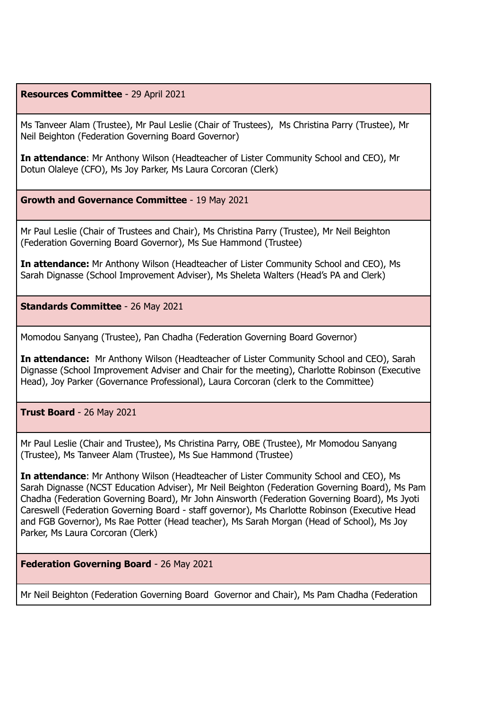#### **Resources Committee** - 29 April 2021

Ms Tanveer Alam (Trustee), Mr Paul Leslie (Chair of Trustees), Ms Christina Parry (Trustee), Mr Neil Beighton (Federation Governing Board Governor)

**In attendance**: Mr Anthony Wilson (Headteacher of Lister Community School and CEO), Mr Dotun Olaleye (CFO), Ms Joy Parker, Ms Laura Corcoran (Clerk)

**Growth and Governance Committee** - 19 May 2021

Mr Paul Leslie (Chair of Trustees and Chair), Ms Christina Parry (Trustee), Mr Neil Beighton (Federation Governing Board Governor), Ms Sue Hammond (Trustee)

**In attendance:** Mr Anthony Wilson (Headteacher of Lister Community School and CEO), Ms Sarah Dignasse (School Improvement Adviser), Ms Sheleta Walters (Head's PA and Clerk)

**Standards Committee** - 26 May 2021

Momodou Sanyang (Trustee), Pan Chadha (Federation Governing Board Governor)

**In attendance:** Mr Anthony Wilson (Headteacher of Lister Community School and CEO), Sarah Dignasse (School Improvement Adviser and Chair for the meeting), Charlotte Robinson (Executive Head), Joy Parker (Governance Professional), Laura Corcoran (clerk to the Committee)

**Trust Board** - 26 May 2021

Mr Paul Leslie (Chair and Trustee), Ms Christina Parry, OBE (Trustee), Mr Momodou Sanyang (Trustee), Ms Tanveer Alam (Trustee), Ms Sue Hammond (Trustee)

**In attendance**: Mr Anthony Wilson (Headteacher of Lister Community School and CEO), Ms Sarah Dignasse (NCST Education Adviser), Mr Neil Beighton (Federation Governing Board), Ms Pam Chadha (Federation Governing Board), Mr John Ainsworth (Federation Governing Board), Ms Jyoti Careswell (Federation Governing Board - staff governor), Ms Charlotte Robinson (Executive Head and FGB Governor), Ms Rae Potter (Head teacher), Ms Sarah Morgan (Head of School), Ms Joy Parker, Ms Laura Corcoran (Clerk)

**Federation Governing Board** - 26 May 2021

Mr Neil Beighton (Federation Governing Board Governor and Chair), Ms Pam Chadha (Federation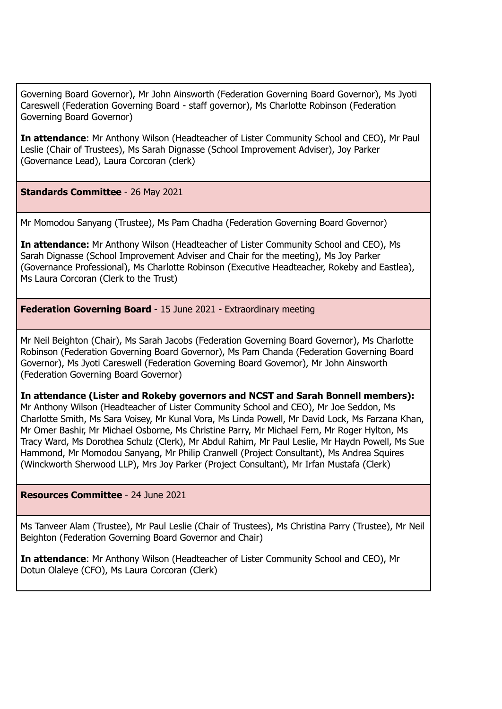Governing Board Governor), Mr John Ainsworth (Federation Governing Board Governor), Ms Jyoti Careswell (Federation Governing Board - staff governor), Ms Charlotte Robinson (Federation Governing Board Governor)

**In attendance**: Mr Anthony Wilson (Headteacher of Lister Community School and CEO), Mr Paul Leslie (Chair of Trustees), Ms Sarah Dignasse (School Improvement Adviser), Joy Parker (Governance Lead), Laura Corcoran (clerk)

**Standards Committee** - 26 May 2021

Mr Momodou Sanyang (Trustee), Ms Pam Chadha (Federation Governing Board Governor)

**In attendance:** Mr Anthony Wilson (Headteacher of Lister Community School and CEO), Ms Sarah Dignasse (School Improvement Adviser and Chair for the meeting), Ms Joy Parker (Governance Professional), Ms Charlotte Robinson (Executive Headteacher, Rokeby and Eastlea), Ms Laura Corcoran (Clerk to the Trust)

**Federation Governing Board** - 15 June 2021 - Extraordinary meeting

Mr Neil Beighton (Chair), Ms Sarah Jacobs (Federation Governing Board Governor), Ms Charlotte Robinson (Federation Governing Board Governor), Ms Pam Chanda (Federation Governing Board Governor), Ms Jyoti Careswell (Federation Governing Board Governor), Mr John Ainsworth (Federation Governing Board Governor)

**In attendance (Lister and Rokeby governors and NCST and Sarah Bonnell members):** Mr Anthony Wilson (Headteacher of Lister Community School and CEO), Mr Joe Seddon, Ms Charlotte Smith, Ms Sara Voisey, Mr Kunal Vora, Ms Linda Powell, Mr David Lock, Ms Farzana Khan, Mr Omer Bashir, Mr Michael Osborne, Ms Christine Parry, Mr Michael Fern, Mr Roger Hylton, Ms Tracy Ward, Ms Dorothea Schulz (Clerk), Mr Abdul Rahim, Mr Paul Leslie, Mr Haydn Powell, Ms Sue Hammond, Mr Momodou Sanyang, Mr Philip Cranwell (Project Consultant), Ms Andrea Squires (Winckworth Sherwood LLP), Mrs Joy Parker (Project Consultant), Mr Irfan Mustafa (Clerk)

## **Resources Committee** - 24 June 2021

Ms Tanveer Alam (Trustee), Mr Paul Leslie (Chair of Trustees), Ms Christina Parry (Trustee), Mr Neil Beighton (Federation Governing Board Governor and Chair)

**In attendance**: Mr Anthony Wilson (Headteacher of Lister Community School and CEO), Mr Dotun Olaleye (CFO), Ms Laura Corcoran (Clerk)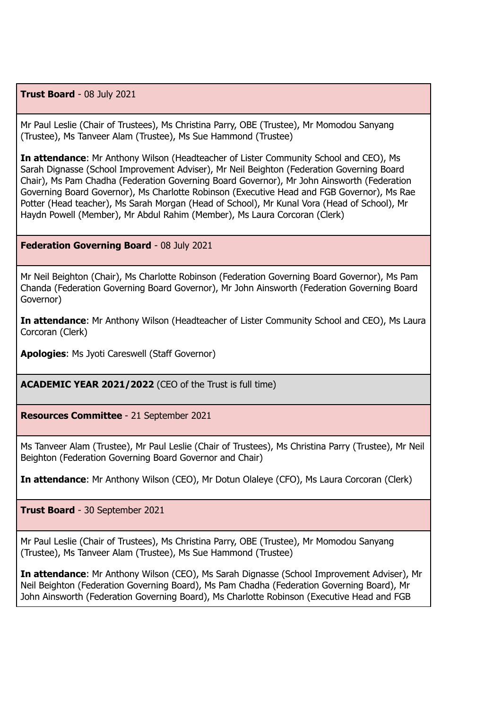**Trust Board** - 08 July 2021

Mr Paul Leslie (Chair of Trustees), Ms Christina Parry, OBE (Trustee), Mr Momodou Sanyang (Trustee), Ms Tanveer Alam (Trustee), Ms Sue Hammond (Trustee)

**In attendance**: Mr Anthony Wilson (Headteacher of Lister Community School and CEO), Ms Sarah Dignasse (School Improvement Adviser), Mr Neil Beighton (Federation Governing Board Chair), Ms Pam Chadha (Federation Governing Board Governor), Mr John Ainsworth (Federation Governing Board Governor), Ms Charlotte Robinson (Executive Head and FGB Governor), Ms Rae Potter (Head teacher), Ms Sarah Morgan (Head of School), Mr Kunal Vora (Head of School), Mr Haydn Powell (Member), Mr Abdul Rahim (Member), Ms Laura Corcoran (Clerk)

#### **Federation Governing Board** - 08 July 2021

Mr Neil Beighton (Chair), Ms Charlotte Robinson (Federation Governing Board Governor), Ms Pam Chanda (Federation Governing Board Governor), Mr John Ainsworth (Federation Governing Board Governor)

**In attendance**: Mr Anthony Wilson (Headteacher of Lister Community School and CEO), Ms Laura Corcoran (Clerk)

**Apologies**: Ms Jyoti Careswell (Staff Governor)

**ACADEMIC YEAR 2021/2022** (CEO of the Trust is full time)

**Resources Committee** - 21 September 2021

Ms Tanveer Alam (Trustee), Mr Paul Leslie (Chair of Trustees), Ms Christina Parry (Trustee), Mr Neil Beighton (Federation Governing Board Governor and Chair)

**In attendance**: Mr Anthony Wilson (CEO), Mr Dotun Olaleye (CFO), Ms Laura Corcoran (Clerk)

**Trust Board** - 30 September 2021

Mr Paul Leslie (Chair of Trustees), Ms Christina Parry, OBE (Trustee), Mr Momodou Sanyang (Trustee), Ms Tanveer Alam (Trustee), Ms Sue Hammond (Trustee)

**In attendance**: Mr Anthony Wilson (CEO), Ms Sarah Dignasse (School Improvement Adviser), Mr Neil Beighton (Federation Governing Board), Ms Pam Chadha (Federation Governing Board), Mr John Ainsworth (Federation Governing Board), Ms Charlotte Robinson (Executive Head and FGB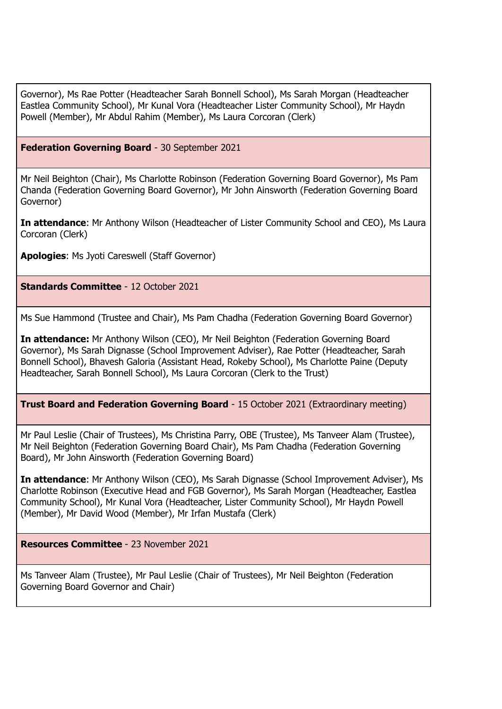Governor), Ms Rae Potter (Headteacher Sarah Bonnell School), Ms Sarah Morgan (Headteacher Eastlea Community School), Mr Kunal Vora (Headteacher Lister Community School), Mr Haydn Powell (Member), Mr Abdul Rahim (Member), Ms Laura Corcoran (Clerk)

#### **Federation Governing Board** - 30 September 2021

Mr Neil Beighton (Chair), Ms Charlotte Robinson (Federation Governing Board Governor), Ms Pam Chanda (Federation Governing Board Governor), Mr John Ainsworth (Federation Governing Board Governor)

**In attendance**: Mr Anthony Wilson (Headteacher of Lister Community School and CEO), Ms Laura Corcoran (Clerk)

**Apologies**: Ms Jyoti Careswell (Staff Governor)

**Standards Committee** - 12 October 2021

Ms Sue Hammond (Trustee and Chair), Ms Pam Chadha (Federation Governing Board Governor)

**In attendance:** Mr Anthony Wilson (CEO), Mr Neil Beighton (Federation Governing Board Governor), Ms Sarah Dignasse (School Improvement Adviser), Rae Potter (Headteacher, Sarah Bonnell School), Bhavesh Galoria (Assistant Head, Rokeby School), Ms Charlotte Paine (Deputy Headteacher, Sarah Bonnell School), Ms Laura Corcoran (Clerk to the Trust)

**Trust Board and Federation Governing Board** - 15 October 2021 (Extraordinary meeting)

Mr Paul Leslie (Chair of Trustees), Ms Christina Parry, OBE (Trustee), Ms Tanveer Alam (Trustee), Mr Neil Beighton (Federation Governing Board Chair), Ms Pam Chadha (Federation Governing Board), Mr John Ainsworth (Federation Governing Board)

**In attendance**: Mr Anthony Wilson (CEO), Ms Sarah Dignasse (School Improvement Adviser), Ms Charlotte Robinson (Executive Head and FGB Governor), Ms Sarah Morgan (Headteacher, Eastlea Community School), Mr Kunal Vora (Headteacher, Lister Community School), Mr Haydn Powell (Member), Mr David Wood (Member), Mr Irfan Mustafa (Clerk)

**Resources Committee** - 23 November 2021

Ms Tanveer Alam (Trustee), Mr Paul Leslie (Chair of Trustees), Mr Neil Beighton (Federation Governing Board Governor and Chair)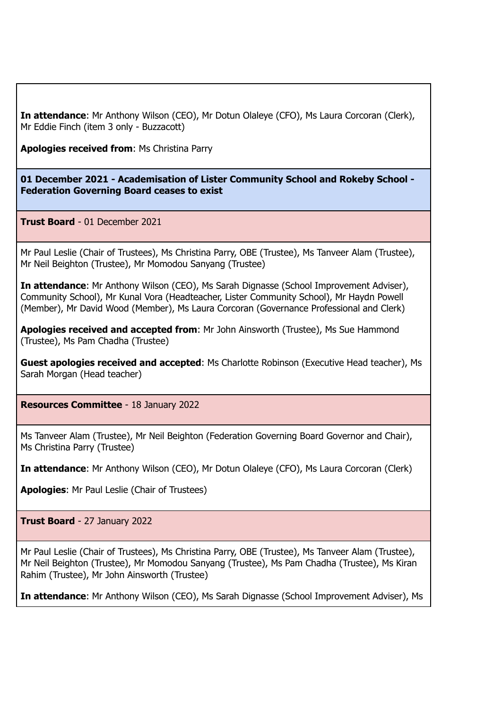**In attendance**: Mr Anthony Wilson (CEO), Mr Dotun Olaleye (CFO), Ms Laura Corcoran (Clerk), Mr Eddie Finch (item 3 only - Buzzacott)

**Apologies received from**: Ms Christina Parry

**01 December 2021 - Academisation of Lister Community School and Rokeby School - Federation Governing Board ceases to exist**

**Trust Board** - 01 December 2021

Mr Paul Leslie (Chair of Trustees), Ms Christina Parry, OBE (Trustee), Ms Tanveer Alam (Trustee), Mr Neil Beighton (Trustee), Mr Momodou Sanyang (Trustee)

**In attendance**: Mr Anthony Wilson (CEO), Ms Sarah Dignasse (School Improvement Adviser), Community School), Mr Kunal Vora (Headteacher, Lister Community School), Mr Haydn Powell (Member), Mr David Wood (Member), Ms Laura Corcoran (Governance Professional and Clerk)

**Apologies received and accepted from**: Mr John Ainsworth (Trustee), Ms Sue Hammond (Trustee), Ms Pam Chadha (Trustee)

**Guest apologies received and accepted**: Ms Charlotte Robinson (Executive Head teacher), Ms Sarah Morgan (Head teacher)

**Resources Committee** - 18 January 2022

Ms Tanveer Alam (Trustee), Mr Neil Beighton (Federation Governing Board Governor and Chair), Ms Christina Parry (Trustee)

**In attendance**: Mr Anthony Wilson (CEO), Mr Dotun Olaleye (CFO), Ms Laura Corcoran (Clerk)

**Apologies**: Mr Paul Leslie (Chair of Trustees)

**Trust Board** - 27 January 2022

Mr Paul Leslie (Chair of Trustees), Ms Christina Parry, OBE (Trustee), Ms Tanveer Alam (Trustee), Mr Neil Beighton (Trustee), Mr Momodou Sanyang (Trustee), Ms Pam Chadha (Trustee), Ms Kiran Rahim (Trustee), Mr John Ainsworth (Trustee)

**In attendance**: Mr Anthony Wilson (CEO), Ms Sarah Dignasse (School Improvement Adviser), Ms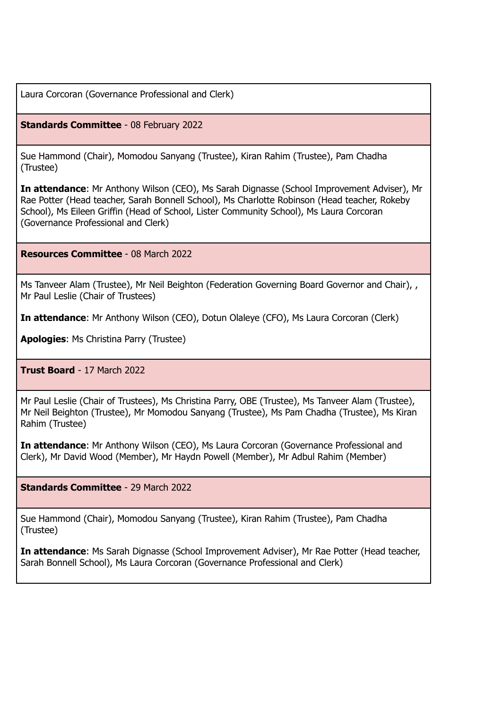Laura Corcoran (Governance Professional and Clerk)

**Standards Committee** - 08 February 2022

Sue Hammond (Chair), Momodou Sanyang (Trustee), Kiran Rahim (Trustee), Pam Chadha (Trustee)

**In attendance**: Mr Anthony Wilson (CEO), Ms Sarah Dignasse (School Improvement Adviser), Mr Rae Potter (Head teacher, Sarah Bonnell School), Ms Charlotte Robinson (Head teacher, Rokeby School), Ms Eileen Griffin (Head of School, Lister Community School), Ms Laura Corcoran (Governance Professional and Clerk)

**Resources Committee** - 08 March 2022

Ms Tanveer Alam (Trustee), Mr Neil Beighton (Federation Governing Board Governor and Chair), , Mr Paul Leslie (Chair of Trustees)

**In attendance**: Mr Anthony Wilson (CEO), Dotun Olaleye (CFO), Ms Laura Corcoran (Clerk)

**Apologies**: Ms Christina Parry (Trustee)

**Trust Board** - 17 March 2022

Mr Paul Leslie (Chair of Trustees), Ms Christina Parry, OBE (Trustee), Ms Tanveer Alam (Trustee), Mr Neil Beighton (Trustee), Mr Momodou Sanyang (Trustee), Ms Pam Chadha (Trustee), Ms Kiran Rahim (Trustee)

**In attendance**: Mr Anthony Wilson (CEO), Ms Laura Corcoran (Governance Professional and Clerk), Mr David Wood (Member), Mr Haydn Powell (Member), Mr Adbul Rahim (Member)

**Standards Committee** - 29 March 2022

Sue Hammond (Chair), Momodou Sanyang (Trustee), Kiran Rahim (Trustee), Pam Chadha (Trustee)

**In attendance**: Ms Sarah Dignasse (School Improvement Adviser), Mr Rae Potter (Head teacher, Sarah Bonnell School), Ms Laura Corcoran (Governance Professional and Clerk)